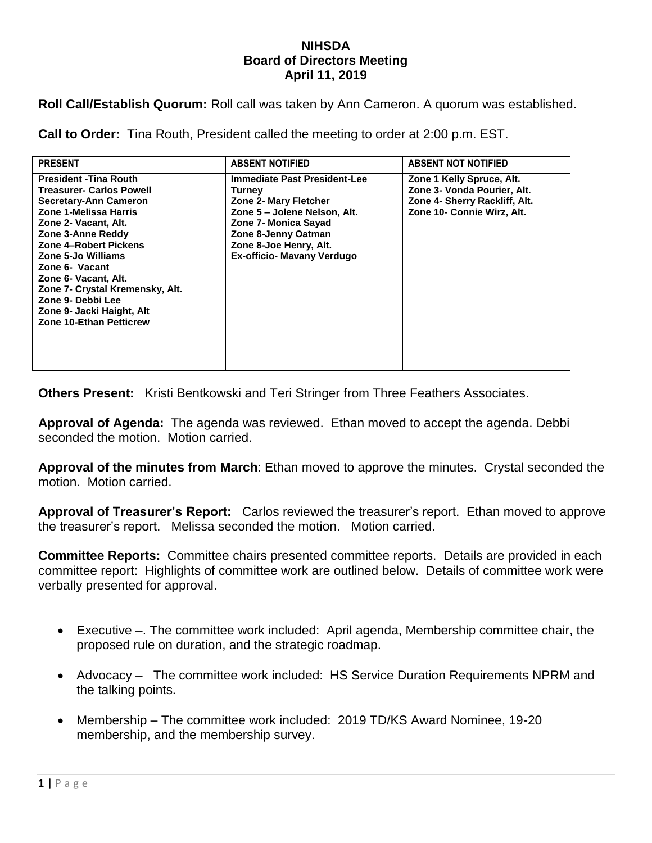## **NIHSDA Board of Directors Meeting April 11, 2019**

**Roll Call/Establish Quorum:** Roll call was taken by Ann Cameron. A quorum was established.

**Call to Order:** Tina Routh, President called the meeting to order at 2:00 p.m. EST.

| <b>PRESENT</b>                                                                                                                                                                                                                                                                                                                                                                  | <b>ABSENT NOTIFIED</b>                                                                                                                                                                                                      | <b>ABSENT NOT NOTIFIED</b>                                                                                              |
|---------------------------------------------------------------------------------------------------------------------------------------------------------------------------------------------------------------------------------------------------------------------------------------------------------------------------------------------------------------------------------|-----------------------------------------------------------------------------------------------------------------------------------------------------------------------------------------------------------------------------|-------------------------------------------------------------------------------------------------------------------------|
| <b>President - Tina Routh</b><br><b>Treasurer- Carlos Powell</b><br>Secretary-Ann Cameron<br>Zone 1-Melissa Harris<br>Zone 2- Vacant, Alt.<br>Zone 3-Anne Reddy<br>Zone 4-Robert Pickens<br>Zone 5-Jo Williams<br>Zone 6- Vacant<br>Zone 6- Vacant, Alt.<br>Zone 7- Crystal Kremensky, Alt.<br>Zone 9- Debbi Lee<br>Zone 9- Jacki Haight, Alt<br><b>Zone 10-Ethan Petticrew</b> | <b>Immediate Past President-Lee</b><br>Turney<br><b>Zone 2- Mary Fletcher</b><br>Zone 5 - Jolene Nelson, Alt.<br>Zone 7- Monica Sayad<br>Zone 8-Jenny Oatman<br>Zone 8-Joe Henry, Alt.<br><b>Ex-officio- Mavany Verdugo</b> | Zone 1 Kelly Spruce, Alt.<br>Zone 3- Vonda Pourier, Alt.<br>Zone 4- Sherry Rackliff, Alt.<br>Zone 10- Connie Wirz, Alt. |

**Others Present:** Kristi Bentkowski and Teri Stringer from Three Feathers Associates.

**Approval of Agenda:** The agenda was reviewed. Ethan moved to accept the agenda. Debbi seconded the motion. Motion carried.

**Approval of the minutes from March**: Ethan moved to approve the minutes. Crystal seconded the motion. Motion carried.

**Approval of Treasurer's Report:** Carlos reviewed the treasurer's report. Ethan moved to approve the treasurer's report. Melissa seconded the motion. Motion carried.

**Committee Reports:** Committee chairs presented committee reports. Details are provided in each committee report: Highlights of committee work are outlined below. Details of committee work were verbally presented for approval.

- Executive –. The committee work included: April agenda, Membership committee chair, the proposed rule on duration, and the strategic roadmap.
- Advocacy The committee work included: HS Service Duration Requirements NPRM and the talking points.
- Membership The committee work included: 2019 TD/KS Award Nominee, 19-20 membership, and the membership survey.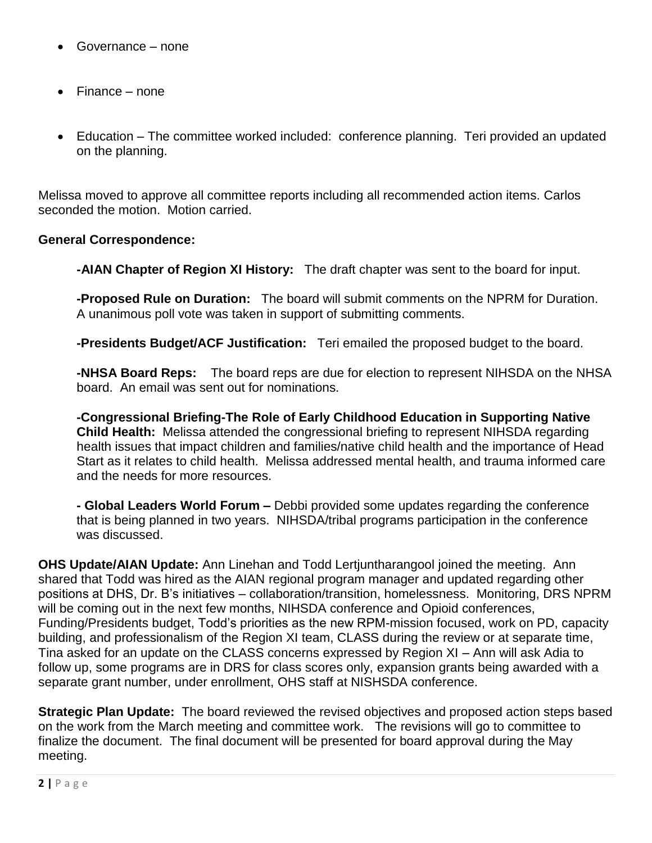- Governance none
- Finance none
- Education The committee worked included: conference planning. Teri provided an updated on the planning.

Melissa moved to approve all committee reports including all recommended action items. Carlos seconded the motion. Motion carried.

## **General Correspondence:**

**-AIAN Chapter of Region XI History:** The draft chapter was sent to the board for input.

**-Proposed Rule on Duration:** The board will submit comments on the NPRM for Duration. A unanimous poll vote was taken in support of submitting comments.

**-Presidents Budget/ACF Justification:** Teri emailed the proposed budget to the board.

**-NHSA Board Reps:** The board reps are due for election to represent NIHSDA on the NHSA board. An email was sent out for nominations.

**-Congressional Briefing-The Role of Early Childhood Education in Supporting Native Child Health:** Melissa attended the congressional briefing to represent NIHSDA regarding health issues that impact children and families/native child health and the importance of Head Start as it relates to child health. Melissa addressed mental health, and trauma informed care and the needs for more resources.

**- Global Leaders World Forum –** Debbi provided some updates regarding the conference that is being planned in two years. NIHSDA/tribal programs participation in the conference was discussed.

**OHS Update/AIAN Update:** Ann Linehan and Todd Lertjuntharangool joined the meeting. Ann shared that Todd was hired as the AIAN regional program manager and updated regarding other positions at DHS, Dr. B's initiatives – collaboration/transition, homelessness. Monitoring, DRS NPRM will be coming out in the next few months, NIHSDA conference and Opioid conferences, Funding/Presidents budget, Todd's priorities as the new RPM-mission focused, work on PD, capacity building, and professionalism of the Region XI team, CLASS during the review or at separate time, Tina asked for an update on the CLASS concerns expressed by Region XI – Ann will ask Adia to follow up, some programs are in DRS for class scores only, expansion grants being awarded with a separate grant number, under enrollment, OHS staff at NISHSDA conference.

**Strategic Plan Update:** The board reviewed the revised objectives and proposed action steps based on the work from the March meeting and committee work. The revisions will go to committee to finalize the document. The final document will be presented for board approval during the May meeting.